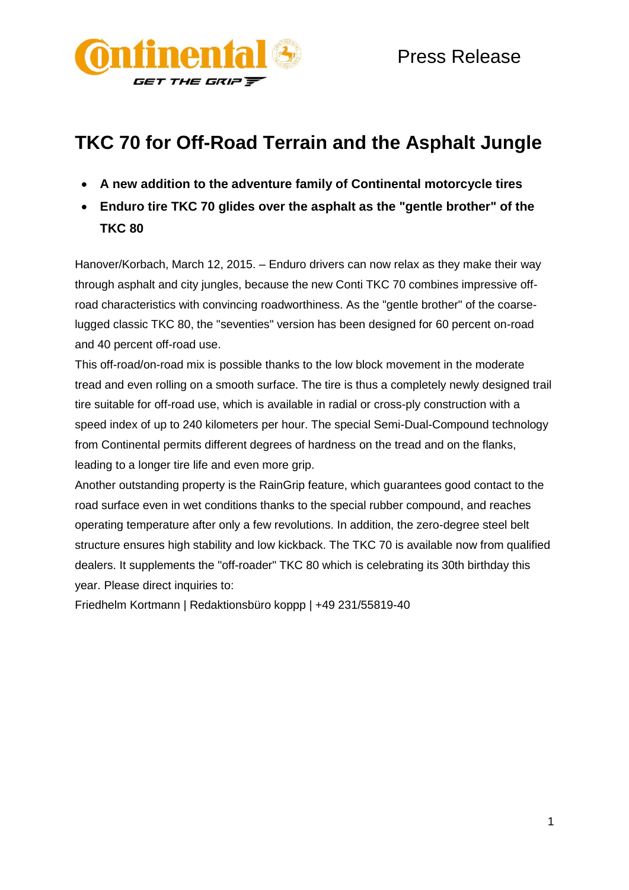

# **TKC 70 for Off-Road Terrain and the Asphalt Jungle**

- **A new addition to the adventure family of Continental motorcycle tires**
- **Enduro tire TKC 70 glides over the asphalt as the "gentle brother" of the TKC 80**

Hanover/Korbach, March 12, 2015. – Enduro drivers can now relax as they make their way through asphalt and city jungles, because the new Conti TKC 70 combines impressive offroad characteristics with convincing roadworthiness. As the "gentle brother" of the coarselugged classic TKC 80, the "seventies" version has been designed for 60 percent on-road and 40 percent off-road use.

This off-road/on-road mix is possible thanks to the low block movement in the moderate tread and even rolling on a smooth surface. The tire is thus a completely newly designed trail tire suitable for off-road use, which is available in radial or cross-ply construction with a speed index of up to 240 kilometers per hour. The special Semi-Dual-Compound technology from Continental permits different degrees of hardness on the tread and on the flanks, leading to a longer tire life and even more grip.

Another outstanding property is the RainGrip feature, which guarantees good contact to the road surface even in wet conditions thanks to the special rubber compound, and reaches operating temperature after only a few revolutions. In addition, the zero-degree steel belt structure ensures high stability and low kickback. The TKC 70 is available now from qualified dealers. It supplements the "off-roader" TKC 80 which is celebrating its 30th birthday this year. Please direct inquiries to:

Friedhelm Kortmann | Redaktionsbüro koppp | +49 231/55819-40